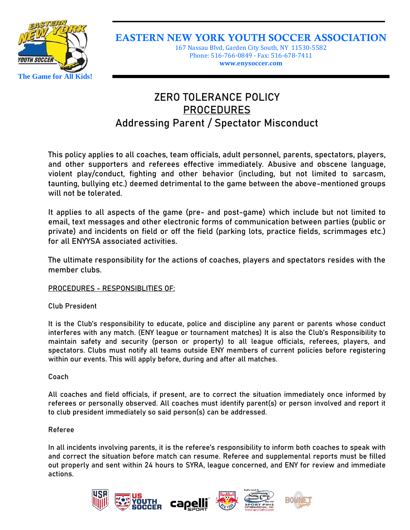

EASTERN NEW YORK YOUTH SOCCER ASSOCIATION

167 Nassau Blvd, Garden City South, NY 11530-5582 Phone: 516-766-0849 - Fax: 516-678-7411 **www.enysoccer.com**

# **ZERO TOLERANCE POLICY PROCEDURES Addressing Parent / Spectator Misconduct**

This policy applies to all coaches, team officials, adult personnel, parents, spectators, players, and other supporters and referees effective immediately. Abusive and obscene language, violent play/conduct, fighting and other behavior (including, but not limited to sarcasm, taunting, bullying etc.) deemed detrimental to the game between the above-mentioned groups will not be tolerated.

It applies to all aspects of the game (pre- and post-game) which include but not limited to email, text messages and other electronic forms of communication between parties (public or private) and incidents on field or off the field (parking lots, practice fields, scrimmages etc.) for all ENYYSA associated activities.

The ultimate responsibility for the actions of coaches, players and spectators resides with the member clubs.

**PROCEDURES - RESPONSIBLITIES OF:**

**Club President**

It is the Club's responsibility to educate, police and discipline any parent or parents whose conduct interferes with any match. (ENY league or tournament matches) It is also the Club's Responsibility to maintain safety and security (person or property) to all league officials, referees, players, and spectators. Clubs must notify all teams outside ENY members of current policies before registering within our events. This will apply before, during and after all matches.

# **Coach**

All coaches and field officials, if present, are to correct the situation immediately once informed by referees or personally observed. All coaches must identify parent(s) or person involved and report it to club president immediately so said person(s) can be addressed.

# **Referee**

In all incidents involving parents, it is the referee's responsibility to inform both coaches to speak with and correct the situation before match can resume. Referee and supplemental reports must be filled out properly and sent within 24 hours to SYRA, league concerned, and ENY for review and immediate actions.